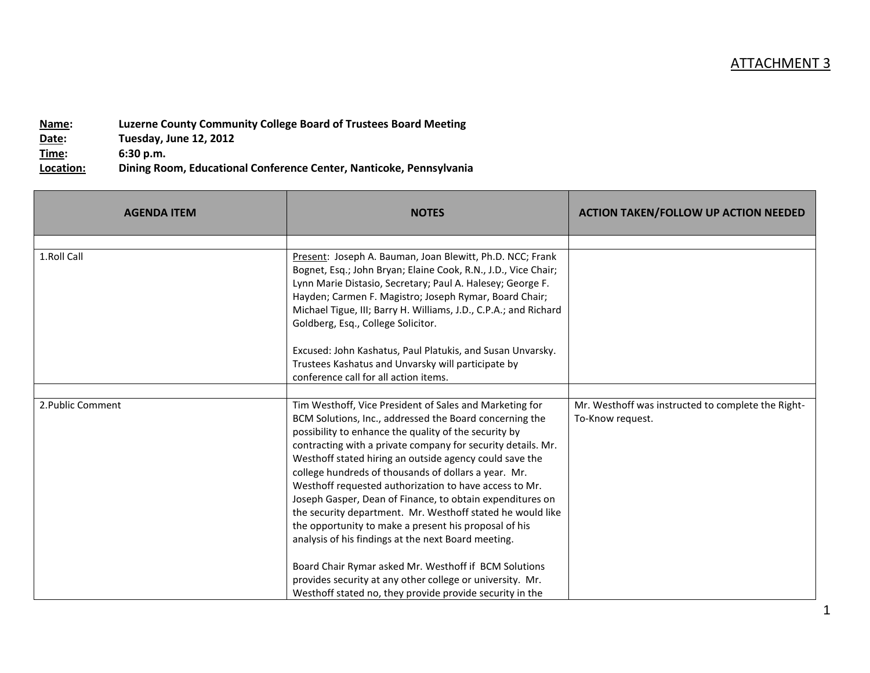| Name:     | Luzerne County Community College Board of Trustees Board Meeting    |
|-----------|---------------------------------------------------------------------|
| Date:     | Tuesday, June 12, 2012                                              |
| Time:     | 6:30 p.m.                                                           |
| Location: | Dining Room, Educational Conference Center, Nanticoke, Pennsylvania |

| <b>AGENDA ITEM</b> | <b>NOTES</b>                                                                                                                                                                                                                                                                                                                                                                                                                                                                                                                                                                                                                                                        | <b>ACTION TAKEN/FOLLOW UP ACTION NEEDED</b>                            |
|--------------------|---------------------------------------------------------------------------------------------------------------------------------------------------------------------------------------------------------------------------------------------------------------------------------------------------------------------------------------------------------------------------------------------------------------------------------------------------------------------------------------------------------------------------------------------------------------------------------------------------------------------------------------------------------------------|------------------------------------------------------------------------|
| 1.Roll Call        | Present: Joseph A. Bauman, Joan Blewitt, Ph.D. NCC; Frank<br>Bognet, Esq.; John Bryan; Elaine Cook, R.N., J.D., Vice Chair;<br>Lynn Marie Distasio, Secretary; Paul A. Halesey; George F.<br>Hayden; Carmen F. Magistro; Joseph Rymar, Board Chair;<br>Michael Tigue, III; Barry H. Williams, J.D., C.P.A.; and Richard<br>Goldberg, Esq., College Solicitor.                                                                                                                                                                                                                                                                                                       |                                                                        |
|                    | Excused: John Kashatus, Paul Platukis, and Susan Unvarsky.<br>Trustees Kashatus and Unvarsky will participate by<br>conference call for all action items.                                                                                                                                                                                                                                                                                                                                                                                                                                                                                                           |                                                                        |
| 2. Public Comment  | Tim Westhoff, Vice President of Sales and Marketing for<br>BCM Solutions, Inc., addressed the Board concerning the<br>possibility to enhance the quality of the security by<br>contracting with a private company for security details. Mr.<br>Westhoff stated hiring an outside agency could save the<br>college hundreds of thousands of dollars a year. Mr.<br>Westhoff requested authorization to have access to Mr.<br>Joseph Gasper, Dean of Finance, to obtain expenditures on<br>the security department. Mr. Westhoff stated he would like<br>the opportunity to make a present his proposal of his<br>analysis of his findings at the next Board meeting. | Mr. Westhoff was instructed to complete the Right-<br>To-Know request. |
|                    | Board Chair Rymar asked Mr. Westhoff if BCM Solutions<br>provides security at any other college or university. Mr.<br>Westhoff stated no, they provide provide security in the                                                                                                                                                                                                                                                                                                                                                                                                                                                                                      |                                                                        |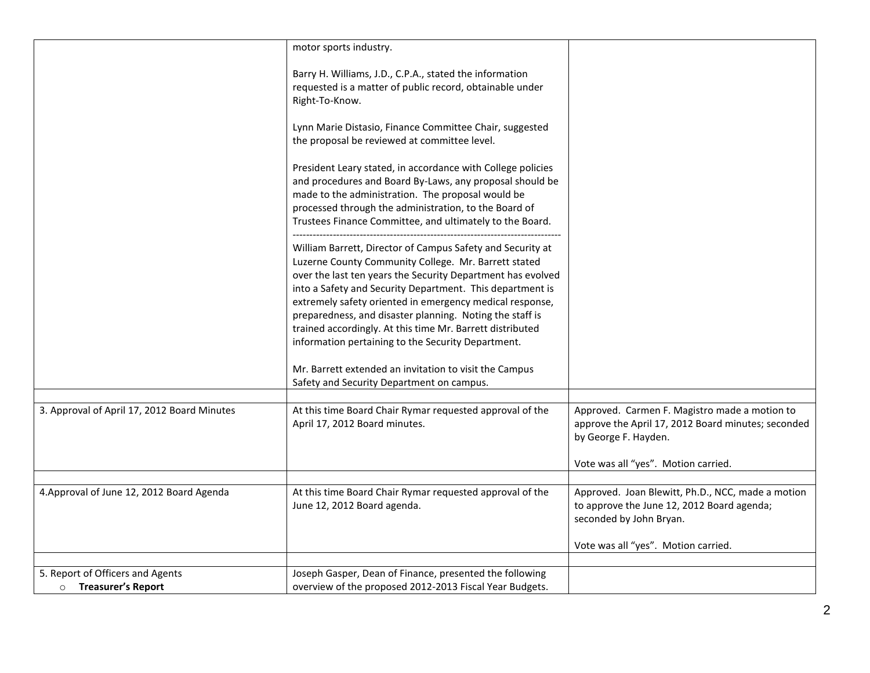|                                             | motor sports industry.                                                                                                                                                                                                                                                                                     |                                                                                                                             |
|---------------------------------------------|------------------------------------------------------------------------------------------------------------------------------------------------------------------------------------------------------------------------------------------------------------------------------------------------------------|-----------------------------------------------------------------------------------------------------------------------------|
|                                             | Barry H. Williams, J.D., C.P.A., stated the information<br>requested is a matter of public record, obtainable under<br>Right-To-Know.                                                                                                                                                                      |                                                                                                                             |
|                                             | Lynn Marie Distasio, Finance Committee Chair, suggested<br>the proposal be reviewed at committee level.                                                                                                                                                                                                    |                                                                                                                             |
|                                             | President Leary stated, in accordance with College policies<br>and procedures and Board By-Laws, any proposal should be<br>made to the administration. The proposal would be<br>processed through the administration, to the Board of<br>Trustees Finance Committee, and ultimately to the Board.          |                                                                                                                             |
|                                             | William Barrett, Director of Campus Safety and Security at<br>Luzerne County Community College. Mr. Barrett stated<br>over the last ten years the Security Department has evolved<br>into a Safety and Security Department. This department is<br>extremely safety oriented in emergency medical response, |                                                                                                                             |
|                                             | preparedness, and disaster planning. Noting the staff is<br>trained accordingly. At this time Mr. Barrett distributed<br>information pertaining to the Security Department.                                                                                                                                |                                                                                                                             |
|                                             | Mr. Barrett extended an invitation to visit the Campus<br>Safety and Security Department on campus.                                                                                                                                                                                                        |                                                                                                                             |
|                                             |                                                                                                                                                                                                                                                                                                            |                                                                                                                             |
| 3. Approval of April 17, 2012 Board Minutes | At this time Board Chair Rymar requested approval of the<br>April 17, 2012 Board minutes.                                                                                                                                                                                                                  | Approved. Carmen F. Magistro made a motion to<br>approve the April 17, 2012 Board minutes; seconded<br>by George F. Hayden. |
|                                             |                                                                                                                                                                                                                                                                                                            | Vote was all "yes". Motion carried.                                                                                         |
|                                             |                                                                                                                                                                                                                                                                                                            |                                                                                                                             |
| 4. Approval of June 12, 2012 Board Agenda   | At this time Board Chair Rymar requested approval of the<br>June 12, 2012 Board agenda.                                                                                                                                                                                                                    | Approved. Joan Blewitt, Ph.D., NCC, made a motion<br>to approve the June 12, 2012 Board agenda;<br>seconded by John Bryan.  |
|                                             |                                                                                                                                                                                                                                                                                                            | Vote was all "yes". Motion carried.                                                                                         |
|                                             |                                                                                                                                                                                                                                                                                                            |                                                                                                                             |
| 5. Report of Officers and Agents            | Joseph Gasper, Dean of Finance, presented the following                                                                                                                                                                                                                                                    |                                                                                                                             |
| <b>O</b> Treasurer's Report                 | overview of the proposed 2012-2013 Fiscal Year Budgets.                                                                                                                                                                                                                                                    |                                                                                                                             |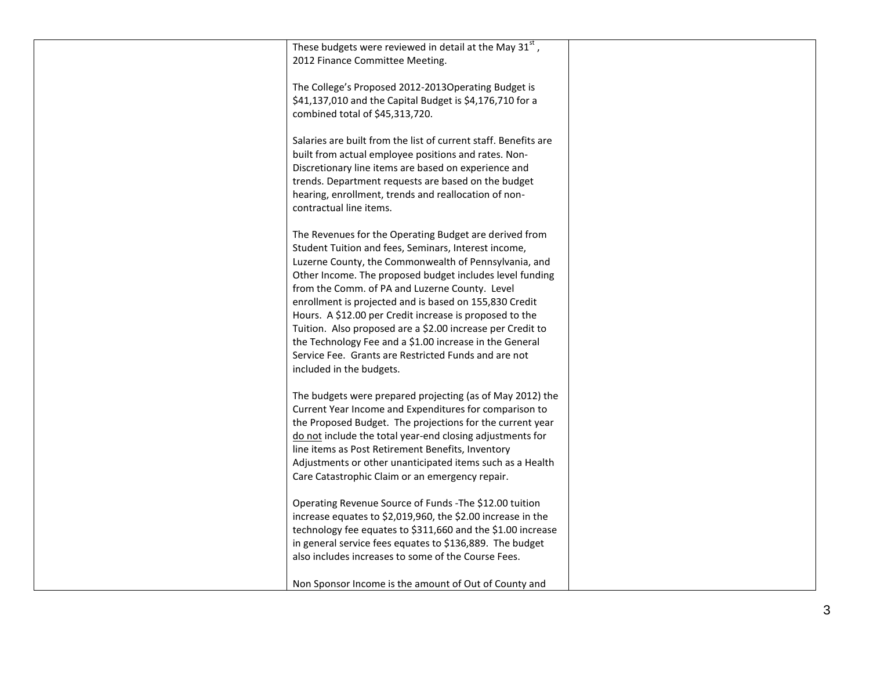| These budgets were reviewed in detail at the May 31st,<br>2012 Finance Committee Meeting.                                                                                                                                                                                                                                                                                                                                                                                                                                                                                                                               |  |
|-------------------------------------------------------------------------------------------------------------------------------------------------------------------------------------------------------------------------------------------------------------------------------------------------------------------------------------------------------------------------------------------------------------------------------------------------------------------------------------------------------------------------------------------------------------------------------------------------------------------------|--|
| The College's Proposed 2012-2013Operating Budget is<br>\$41,137,010 and the Capital Budget is \$4,176,710 for a<br>combined total of \$45,313,720.                                                                                                                                                                                                                                                                                                                                                                                                                                                                      |  |
| Salaries are built from the list of current staff. Benefits are<br>built from actual employee positions and rates. Non-<br>Discretionary line items are based on experience and<br>trends. Department requests are based on the budget<br>hearing, enrollment, trends and reallocation of non-<br>contractual line items.                                                                                                                                                                                                                                                                                               |  |
| The Revenues for the Operating Budget are derived from<br>Student Tuition and fees, Seminars, Interest income,<br>Luzerne County, the Commonwealth of Pennsylvania, and<br>Other Income. The proposed budget includes level funding<br>from the Comm. of PA and Luzerne County. Level<br>enrollment is projected and is based on 155,830 Credit<br>Hours. A \$12.00 per Credit increase is proposed to the<br>Tuition. Also proposed are a \$2.00 increase per Credit to<br>the Technology Fee and a \$1.00 increase in the General<br>Service Fee. Grants are Restricted Funds and are not<br>included in the budgets. |  |
| The budgets were prepared projecting (as of May 2012) the<br>Current Year Income and Expenditures for comparison to<br>the Proposed Budget. The projections for the current year<br>do not include the total year-end closing adjustments for<br>line items as Post Retirement Benefits, Inventory<br>Adjustments or other unanticipated items such as a Health<br>Care Catastrophic Claim or an emergency repair.                                                                                                                                                                                                      |  |
| Operating Revenue Source of Funds - The \$12.00 tuition<br>increase equates to \$2,019,960, the \$2.00 increase in the<br>technology fee equates to \$311,660 and the \$1.00 increase<br>in general service fees equates to \$136,889. The budget<br>also includes increases to some of the Course Fees.                                                                                                                                                                                                                                                                                                                |  |
| Non Sponsor Income is the amount of Out of County and                                                                                                                                                                                                                                                                                                                                                                                                                                                                                                                                                                   |  |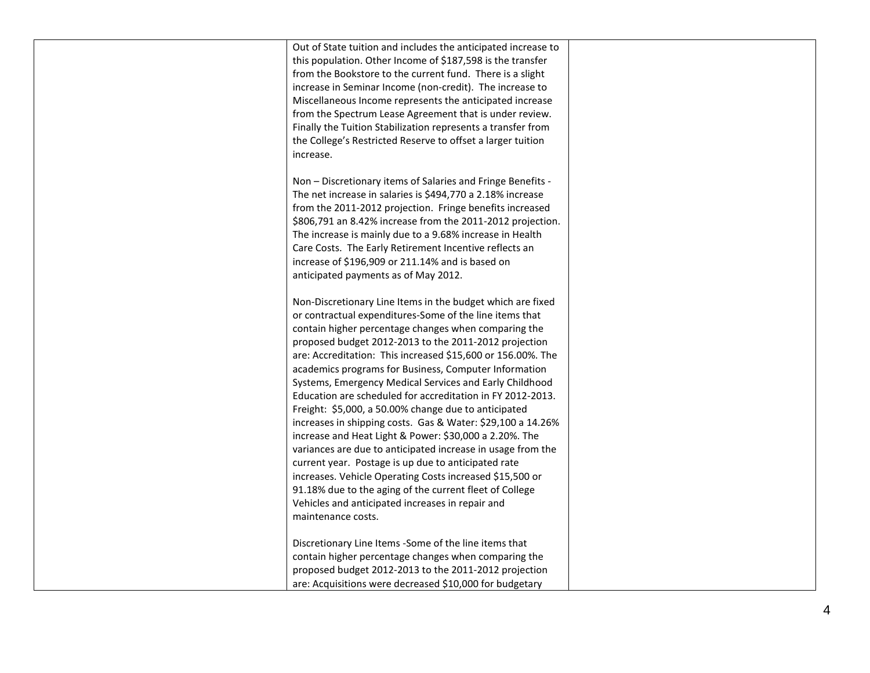| Out of State tuition and includes the anticipated increase to<br>this population. Other Income of \$187,598 is the transfer<br>from the Bookstore to the current fund. There is a slight<br>increase in Seminar Income (non-credit). The increase to<br>Miscellaneous Income represents the anticipated increase<br>from the Spectrum Lease Agreement that is under review.<br>Finally the Tuition Stabilization represents a transfer from<br>the College's Restricted Reserve to offset a larger tuition<br>increase.                                                                                                                                                                                                                                                                                                                                                                                                                                                                         |  |
|-------------------------------------------------------------------------------------------------------------------------------------------------------------------------------------------------------------------------------------------------------------------------------------------------------------------------------------------------------------------------------------------------------------------------------------------------------------------------------------------------------------------------------------------------------------------------------------------------------------------------------------------------------------------------------------------------------------------------------------------------------------------------------------------------------------------------------------------------------------------------------------------------------------------------------------------------------------------------------------------------|--|
| Non - Discretionary items of Salaries and Fringe Benefits -<br>The net increase in salaries is \$494,770 a 2.18% increase<br>from the 2011-2012 projection. Fringe benefits increased<br>\$806,791 an 8.42% increase from the 2011-2012 projection.<br>The increase is mainly due to a 9.68% increase in Health<br>Care Costs. The Early Retirement Incentive reflects an<br>increase of \$196,909 or 211.14% and is based on<br>anticipated payments as of May 2012.                                                                                                                                                                                                                                                                                                                                                                                                                                                                                                                           |  |
| Non-Discretionary Line Items in the budget which are fixed<br>or contractual expenditures-Some of the line items that<br>contain higher percentage changes when comparing the<br>proposed budget 2012-2013 to the 2011-2012 projection<br>are: Accreditation: This increased \$15,600 or 156.00%. The<br>academics programs for Business, Computer Information<br>Systems, Emergency Medical Services and Early Childhood<br>Education are scheduled for accreditation in FY 2012-2013.<br>Freight: \$5,000, a 50.00% change due to anticipated<br>increases in shipping costs. Gas & Water: \$29,100 a 14.26%<br>increase and Heat Light & Power: \$30,000 a 2.20%. The<br>variances are due to anticipated increase in usage from the<br>current year. Postage is up due to anticipated rate<br>increases. Vehicle Operating Costs increased \$15,500 or<br>91.18% due to the aging of the current fleet of College<br>Vehicles and anticipated increases in repair and<br>maintenance costs. |  |
| Discretionary Line Items - Some of the line items that<br>contain higher percentage changes when comparing the<br>proposed budget 2012-2013 to the 2011-2012 projection<br>are: Acquisitions were decreased \$10,000 for budgetary                                                                                                                                                                                                                                                                                                                                                                                                                                                                                                                                                                                                                                                                                                                                                              |  |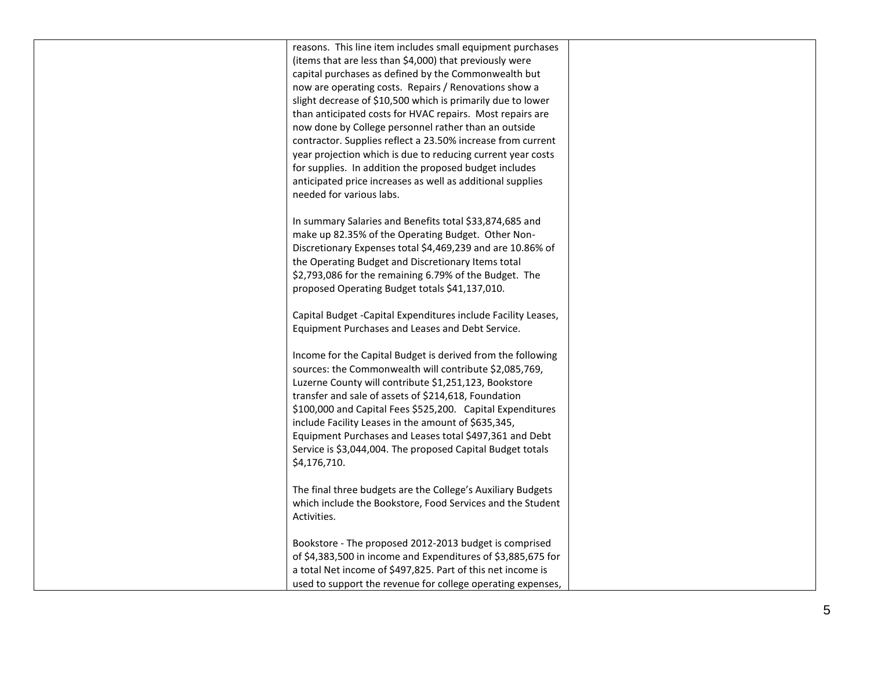| reasons. This line item includes small equipment purchases<br>(items that are less than \$4,000) that previously were<br>capital purchases as defined by the Commonwealth but<br>now are operating costs. Repairs / Renovations show a<br>slight decrease of \$10,500 which is primarily due to lower<br>than anticipated costs for HVAC repairs. Most repairs are<br>now done by College personnel rather than an outside<br>contractor. Supplies reflect a 23.50% increase from current<br>year projection which is due to reducing current year costs<br>for supplies. In addition the proposed budget includes<br>anticipated price increases as well as additional supplies<br>needed for various labs. |  |
|--------------------------------------------------------------------------------------------------------------------------------------------------------------------------------------------------------------------------------------------------------------------------------------------------------------------------------------------------------------------------------------------------------------------------------------------------------------------------------------------------------------------------------------------------------------------------------------------------------------------------------------------------------------------------------------------------------------|--|
| In summary Salaries and Benefits total \$33,874,685 and<br>make up 82.35% of the Operating Budget. Other Non-<br>Discretionary Expenses total \$4,469,239 and are 10.86% of<br>the Operating Budget and Discretionary Items total<br>\$2,793,086 for the remaining 6.79% of the Budget. The<br>proposed Operating Budget totals \$41,137,010.                                                                                                                                                                                                                                                                                                                                                                |  |
| Capital Budget -Capital Expenditures include Facility Leases,<br>Equipment Purchases and Leases and Debt Service.<br>Income for the Capital Budget is derived from the following                                                                                                                                                                                                                                                                                                                                                                                                                                                                                                                             |  |
| sources: the Commonwealth will contribute \$2,085,769,<br>Luzerne County will contribute \$1,251,123, Bookstore<br>transfer and sale of assets of \$214,618, Foundation<br>\$100,000 and Capital Fees \$525,200. Capital Expenditures<br>include Facility Leases in the amount of \$635,345,<br>Equipment Purchases and Leases total \$497,361 and Debt<br>Service is \$3,044,004. The proposed Capital Budget totals<br>\$4,176,710.                                                                                                                                                                                                                                                                        |  |
| The final three budgets are the College's Auxiliary Budgets<br>which include the Bookstore, Food Services and the Student<br>Activities.                                                                                                                                                                                                                                                                                                                                                                                                                                                                                                                                                                     |  |
| Bookstore - The proposed 2012-2013 budget is comprised<br>of \$4,383,500 in income and Expenditures of \$3,885,675 for<br>a total Net income of \$497,825. Part of this net income is<br>used to support the revenue for college operating expenses,                                                                                                                                                                                                                                                                                                                                                                                                                                                         |  |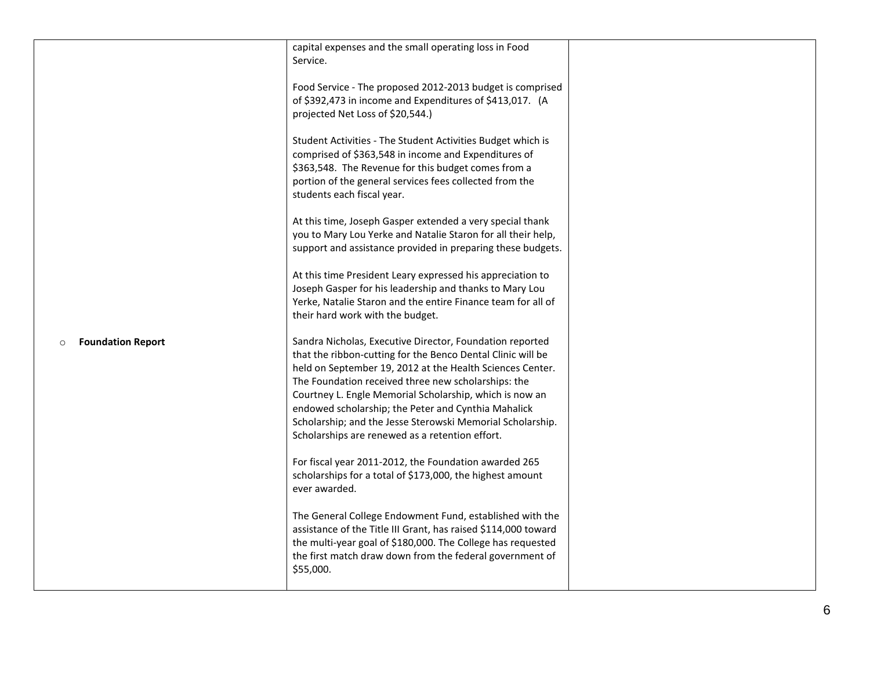|                                      | capital expenses and the small operating loss in Food<br>Service.<br>Food Service - The proposed 2012-2013 budget is comprised<br>of \$392,473 in income and Expenditures of \$413,017. (A<br>projected Net Loss of \$20,544.)<br>Student Activities - The Student Activities Budget which is<br>comprised of \$363,548 in income and Expenditures of<br>\$363,548. The Revenue for this budget comes from a<br>portion of the general services fees collected from the<br>students each fiscal year.<br>At this time, Joseph Gasper extended a very special thank<br>you to Mary Lou Yerke and Natalie Staron for all their help,<br>support and assistance provided in preparing these budgets.<br>At this time President Leary expressed his appreciation to<br>Joseph Gasper for his leadership and thanks to Mary Lou<br>Yerke, Natalie Staron and the entire Finance team for all of<br>their hard work with the budget. |  |
|--------------------------------------|--------------------------------------------------------------------------------------------------------------------------------------------------------------------------------------------------------------------------------------------------------------------------------------------------------------------------------------------------------------------------------------------------------------------------------------------------------------------------------------------------------------------------------------------------------------------------------------------------------------------------------------------------------------------------------------------------------------------------------------------------------------------------------------------------------------------------------------------------------------------------------------------------------------------------------|--|
| <b>Foundation Report</b><br>$\Omega$ | Sandra Nicholas, Executive Director, Foundation reported<br>that the ribbon-cutting for the Benco Dental Clinic will be<br>held on September 19, 2012 at the Health Sciences Center.<br>The Foundation received three new scholarships: the<br>Courtney L. Engle Memorial Scholarship, which is now an<br>endowed scholarship; the Peter and Cynthia Mahalick<br>Scholarship; and the Jesse Sterowski Memorial Scholarship.<br>Scholarships are renewed as a retention effort.<br>For fiscal year 2011-2012, the Foundation awarded 265<br>scholarships for a total of \$173,000, the highest amount<br>ever awarded.<br>The General College Endowment Fund, established with the<br>assistance of the Title III Grant, has raised \$114,000 toward<br>the multi-year goal of \$180,000. The College has requested<br>the first match draw down from the federal government of<br>\$55,000.                                    |  |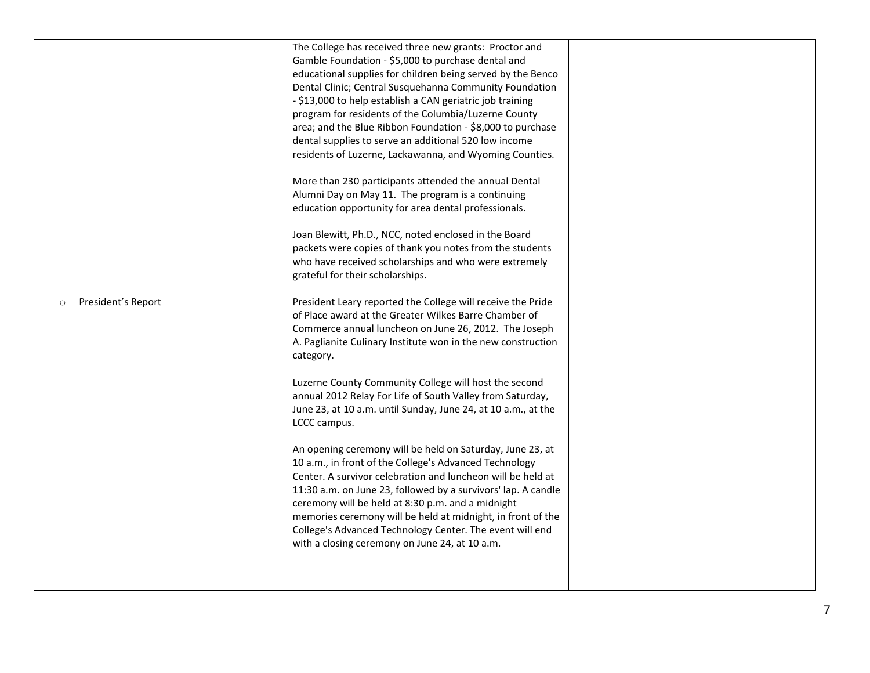|                               | The College has received three new grants: Proctor and<br>Gamble Foundation - \$5,000 to purchase dental and<br>educational supplies for children being served by the Benco<br>Dental Clinic; Central Susquehanna Community Foundation<br>- \$13,000 to help establish a CAN geriatric job training<br>program for residents of the Columbia/Luzerne County<br>area; and the Blue Ribbon Foundation - \$8,000 to purchase<br>dental supplies to serve an additional 520 low income<br>residents of Luzerne, Lackawanna, and Wyoming Counties.<br>More than 230 participants attended the annual Dental<br>Alumni Day on May 11. The program is a continuing<br>education opportunity for area dental professionals.<br>Joan Blewitt, Ph.D., NCC, noted enclosed in the Board<br>packets were copies of thank you notes from the students<br>who have received scholarships and who were extremely<br>grateful for their scholarships.                      |  |
|-------------------------------|------------------------------------------------------------------------------------------------------------------------------------------------------------------------------------------------------------------------------------------------------------------------------------------------------------------------------------------------------------------------------------------------------------------------------------------------------------------------------------------------------------------------------------------------------------------------------------------------------------------------------------------------------------------------------------------------------------------------------------------------------------------------------------------------------------------------------------------------------------------------------------------------------------------------------------------------------------|--|
| President's Report<br>$\circ$ | President Leary reported the College will receive the Pride<br>of Place award at the Greater Wilkes Barre Chamber of<br>Commerce annual luncheon on June 26, 2012. The Joseph<br>A. Paglianite Culinary Institute won in the new construction<br>category.<br>Luzerne County Community College will host the second<br>annual 2012 Relay For Life of South Valley from Saturday,<br>June 23, at 10 a.m. until Sunday, June 24, at 10 a.m., at the<br>LCCC campus.<br>An opening ceremony will be held on Saturday, June 23, at<br>10 a.m., in front of the College's Advanced Technology<br>Center. A survivor celebration and luncheon will be held at<br>11:30 a.m. on June 23, followed by a survivors' lap. A candle<br>ceremony will be held at 8:30 p.m. and a midnight<br>memories ceremony will be held at midnight, in front of the<br>College's Advanced Technology Center. The event will end<br>with a closing ceremony on June 24, at 10 a.m. |  |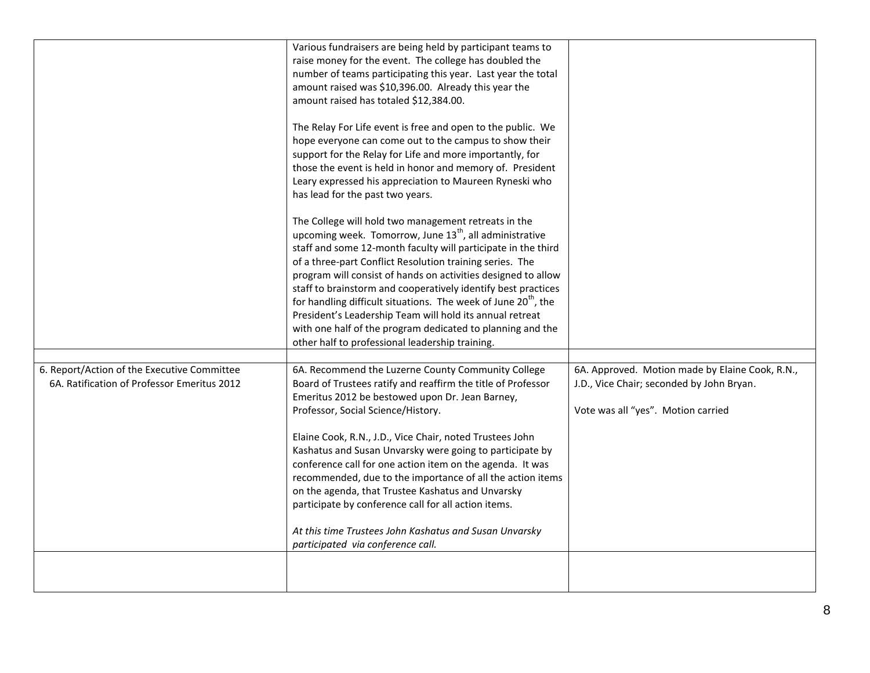|                                                                                            | number of teams participating this year. Last year the total<br>amount raised was \$10,396.00. Already this year the<br>amount raised has totaled \$12,384.00.<br>The Relay For Life event is free and open to the public. We<br>hope everyone can come out to the campus to show their<br>support for the Relay for Life and more importantly, for<br>those the event is held in honor and memory of. President<br>Leary expressed his appreciation to Maureen Ryneski who<br>has lead for the past two years.<br>The College will hold two management retreats in the<br>upcoming week. Tomorrow, June 13 <sup>th</sup> , all administrative<br>staff and some 12-month faculty will participate in the third<br>of a three-part Conflict Resolution training series. The<br>program will consist of hands on activities designed to allow<br>staff to brainstorm and cooperatively identify best practices<br>for handling difficult situations. The week of June 20 <sup>th</sup> , the<br>President's Leadership Team will hold its annual retreat<br>with one half of the program dedicated to planning and the<br>other half to professional leadership training. |                                                                                                                                    |
|--------------------------------------------------------------------------------------------|--------------------------------------------------------------------------------------------------------------------------------------------------------------------------------------------------------------------------------------------------------------------------------------------------------------------------------------------------------------------------------------------------------------------------------------------------------------------------------------------------------------------------------------------------------------------------------------------------------------------------------------------------------------------------------------------------------------------------------------------------------------------------------------------------------------------------------------------------------------------------------------------------------------------------------------------------------------------------------------------------------------------------------------------------------------------------------------------------------------------------------------------------------------------------|------------------------------------------------------------------------------------------------------------------------------------|
| 6. Report/Action of the Executive Committee<br>6A. Ratification of Professor Emeritus 2012 | 6A. Recommend the Luzerne County Community College<br>Board of Trustees ratify and reaffirm the title of Professor<br>Emeritus 2012 be bestowed upon Dr. Jean Barney,<br>Professor, Social Science/History.<br>Elaine Cook, R.N., J.D., Vice Chair, noted Trustees John<br>Kashatus and Susan Unvarsky were going to participate by<br>conference call for one action item on the agenda. It was<br>recommended, due to the importance of all the action items<br>on the agenda, that Trustee Kashatus and Unvarsky<br>participate by conference call for all action items.<br>At this time Trustees John Kashatus and Susan Unvarsky<br>participated via conference call.                                                                                                                                                                                                                                                                                                                                                                                                                                                                                               | 6A. Approved. Motion made by Elaine Cook, R.N.,<br>J.D., Vice Chair; seconded by John Bryan.<br>Vote was all "yes". Motion carried |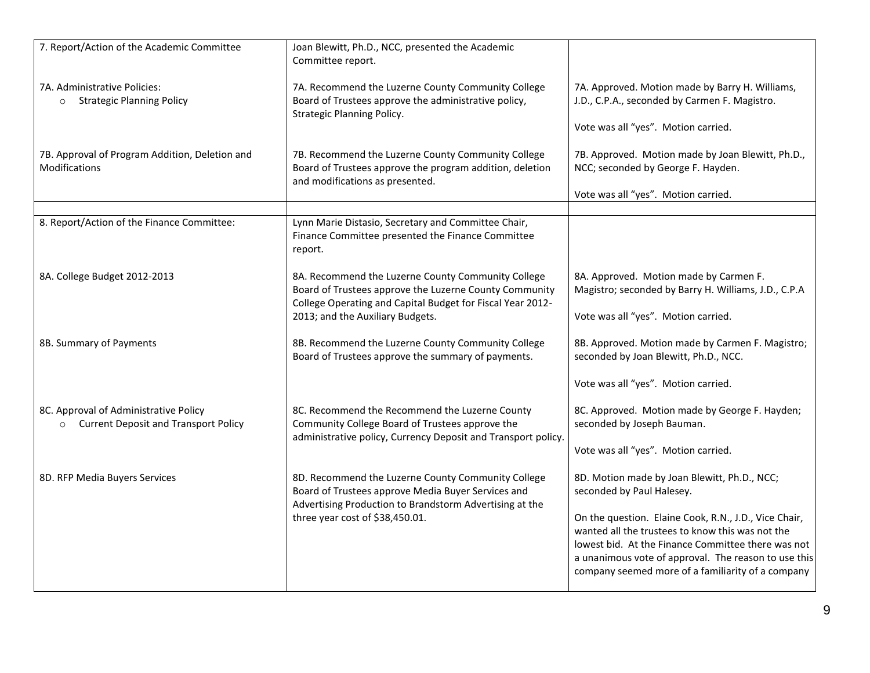| 7. Report/Action of the Academic Committee                                                      | Joan Blewitt, Ph.D., NCC, presented the Academic<br>Committee report.                                                                                                                                          |                                                                                                                                                                                                                                                                              |
|-------------------------------------------------------------------------------------------------|----------------------------------------------------------------------------------------------------------------------------------------------------------------------------------------------------------------|------------------------------------------------------------------------------------------------------------------------------------------------------------------------------------------------------------------------------------------------------------------------------|
| 7A. Administrative Policies:<br><b>Strategic Planning Policy</b><br>$\circ$                     | 7A. Recommend the Luzerne County Community College<br>Board of Trustees approve the administrative policy,<br><b>Strategic Planning Policy.</b>                                                                | 7A. Approved. Motion made by Barry H. Williams,<br>J.D., C.P.A., seconded by Carmen F. Magistro.                                                                                                                                                                             |
|                                                                                                 |                                                                                                                                                                                                                | Vote was all "yes". Motion carried.                                                                                                                                                                                                                                          |
| 7B. Approval of Program Addition, Deletion and<br>Modifications                                 | 7B. Recommend the Luzerne County Community College<br>Board of Trustees approve the program addition, deletion<br>and modifications as presented.                                                              | 7B. Approved. Motion made by Joan Blewitt, Ph.D.,<br>NCC; seconded by George F. Hayden.                                                                                                                                                                                      |
|                                                                                                 |                                                                                                                                                                                                                | Vote was all "yes". Motion carried.                                                                                                                                                                                                                                          |
|                                                                                                 |                                                                                                                                                                                                                |                                                                                                                                                                                                                                                                              |
| 8. Report/Action of the Finance Committee:                                                      | Lynn Marie Distasio, Secretary and Committee Chair,<br>Finance Committee presented the Finance Committee<br>report.                                                                                            |                                                                                                                                                                                                                                                                              |
| 8A. College Budget 2012-2013                                                                    | 8A. Recommend the Luzerne County Community College<br>Board of Trustees approve the Luzerne County Community<br>College Operating and Capital Budget for Fiscal Year 2012-<br>2013; and the Auxiliary Budgets. | 8A. Approved. Motion made by Carmen F.<br>Magistro; seconded by Barry H. Williams, J.D., C.P.A<br>Vote was all "yes". Motion carried.                                                                                                                                        |
| 8B. Summary of Payments                                                                         | 8B. Recommend the Luzerne County Community College<br>Board of Trustees approve the summary of payments.                                                                                                       | 8B. Approved. Motion made by Carmen F. Magistro;<br>seconded by Joan Blewitt, Ph.D., NCC.                                                                                                                                                                                    |
|                                                                                                 |                                                                                                                                                                                                                | Vote was all "yes". Motion carried.                                                                                                                                                                                                                                          |
| 8C. Approval of Administrative Policy<br><b>Current Deposit and Transport Policy</b><br>$\circ$ | 8C. Recommend the Recommend the Luzerne County<br>Community College Board of Trustees approve the<br>administrative policy, Currency Deposit and Transport policy.                                             | 8C. Approved. Motion made by George F. Hayden;<br>seconded by Joseph Bauman.                                                                                                                                                                                                 |
|                                                                                                 |                                                                                                                                                                                                                | Vote was all "yes". Motion carried.                                                                                                                                                                                                                                          |
| 8D. RFP Media Buyers Services                                                                   | 8D. Recommend the Luzerne County Community College<br>Board of Trustees approve Media Buyer Services and<br>Advertising Production to Brandstorm Advertising at the                                            | 8D. Motion made by Joan Blewitt, Ph.D., NCC;<br>seconded by Paul Halesey.                                                                                                                                                                                                    |
|                                                                                                 | three year cost of \$38,450.01.                                                                                                                                                                                | On the question. Elaine Cook, R.N., J.D., Vice Chair,<br>wanted all the trustees to know this was not the<br>lowest bid. At the Finance Committee there was not<br>a unanimous vote of approval. The reason to use this<br>company seemed more of a familiarity of a company |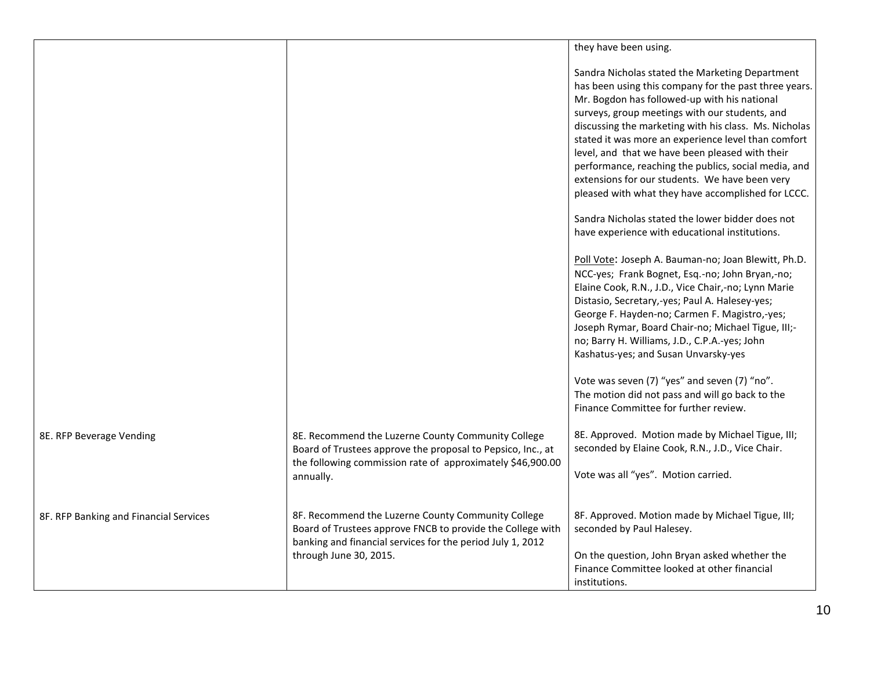|                                        |                                                                                                                                                                                 | they have been using.                                                                                                                                                                                                                                                                                                                                                                                                                                                                                                                         |
|----------------------------------------|---------------------------------------------------------------------------------------------------------------------------------------------------------------------------------|-----------------------------------------------------------------------------------------------------------------------------------------------------------------------------------------------------------------------------------------------------------------------------------------------------------------------------------------------------------------------------------------------------------------------------------------------------------------------------------------------------------------------------------------------|
|                                        |                                                                                                                                                                                 | Sandra Nicholas stated the Marketing Department<br>has been using this company for the past three years.<br>Mr. Bogdon has followed-up with his national<br>surveys, group meetings with our students, and<br>discussing the marketing with his class. Ms. Nicholas<br>stated it was more an experience level than comfort<br>level, and that we have been pleased with their<br>performance, reaching the publics, social media, and<br>extensions for our students. We have been very<br>pleased with what they have accomplished for LCCC. |
|                                        |                                                                                                                                                                                 | Sandra Nicholas stated the lower bidder does not<br>have experience with educational institutions.                                                                                                                                                                                                                                                                                                                                                                                                                                            |
|                                        |                                                                                                                                                                                 | Poll Vote: Joseph A. Bauman-no; Joan Blewitt, Ph.D.<br>NCC-yes; Frank Bognet, Esq.-no; John Bryan,-no;<br>Elaine Cook, R.N., J.D., Vice Chair,-no; Lynn Marie<br>Distasio, Secretary,-yes; Paul A. Halesey-yes;<br>George F. Hayden-no; Carmen F. Magistro,-yes;<br>Joseph Rymar, Board Chair-no; Michael Tigue, III;-<br>no; Barry H. Williams, J.D., C.P.A.-yes; John<br>Kashatus-yes; and Susan Unvarsky-yes                                                                                                                               |
|                                        |                                                                                                                                                                                 | Vote was seven (7) "yes" and seven (7) "no".<br>The motion did not pass and will go back to the<br>Finance Committee for further review.                                                                                                                                                                                                                                                                                                                                                                                                      |
| 8E. RFP Beverage Vending               | 8E. Recommend the Luzerne County Community College<br>Board of Trustees approve the proposal to Pepsico, Inc., at<br>the following commission rate of approximately \$46,900.00 | 8E. Approved. Motion made by Michael Tigue, III;<br>seconded by Elaine Cook, R.N., J.D., Vice Chair.                                                                                                                                                                                                                                                                                                                                                                                                                                          |
|                                        | annually.                                                                                                                                                                       | Vote was all "yes". Motion carried.                                                                                                                                                                                                                                                                                                                                                                                                                                                                                                           |
| 8F. RFP Banking and Financial Services | 8F. Recommend the Luzerne County Community College<br>Board of Trustees approve FNCB to provide the College with<br>banking and financial services for the period July 1, 2012  | 8F. Approved. Motion made by Michael Tigue, III;<br>seconded by Paul Halesey.                                                                                                                                                                                                                                                                                                                                                                                                                                                                 |
|                                        | through June 30, 2015.                                                                                                                                                          | On the question, John Bryan asked whether the<br>Finance Committee looked at other financial<br>institutions.                                                                                                                                                                                                                                                                                                                                                                                                                                 |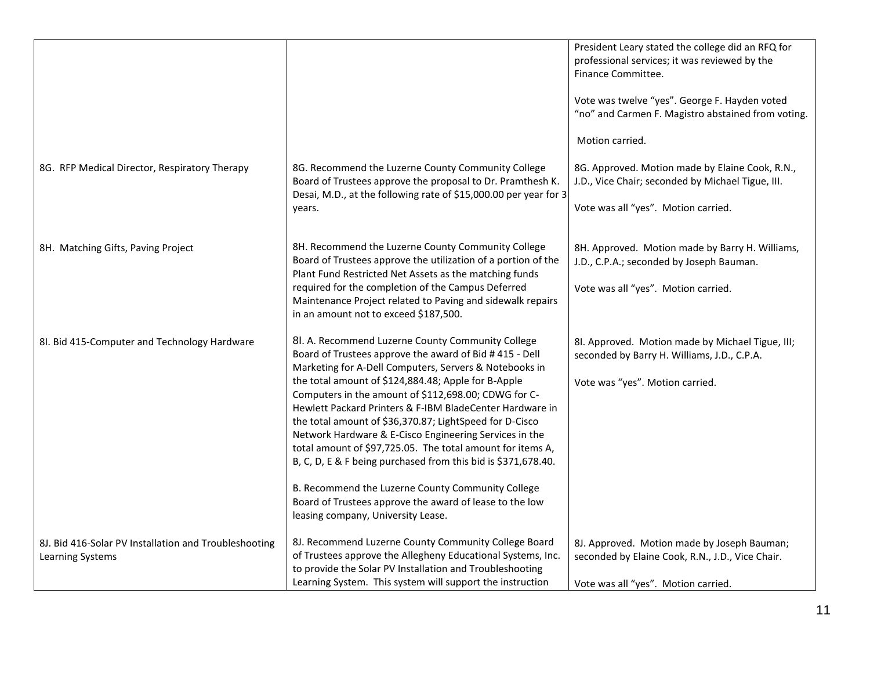|                                                                                  |                                                                                                                                                                                      | President Leary stated the college did an RFQ for<br>professional services; it was reviewed by the<br>Finance Committee. |
|----------------------------------------------------------------------------------|--------------------------------------------------------------------------------------------------------------------------------------------------------------------------------------|--------------------------------------------------------------------------------------------------------------------------|
|                                                                                  |                                                                                                                                                                                      | Vote was twelve "yes". George F. Hayden voted<br>"no" and Carmen F. Magistro abstained from voting.                      |
|                                                                                  |                                                                                                                                                                                      | Motion carried.                                                                                                          |
| 8G. RFP Medical Director, Respiratory Therapy                                    | 8G. Recommend the Luzerne County Community College<br>Board of Trustees approve the proposal to Dr. Pramthesh K.<br>Desai, M.D., at the following rate of \$15,000.00 per year for 3 | 8G. Approved. Motion made by Elaine Cook, R.N.,<br>J.D., Vice Chair; seconded by Michael Tigue, III.                     |
|                                                                                  | years.                                                                                                                                                                               | Vote was all "yes". Motion carried.                                                                                      |
| 8H. Matching Gifts, Paving Project                                               | 8H. Recommend the Luzerne County Community College<br>Board of Trustees approve the utilization of a portion of the<br>Plant Fund Restricted Net Assets as the matching funds        | 8H. Approved. Motion made by Barry H. Williams,<br>J.D., C.P.A.; seconded by Joseph Bauman.                              |
|                                                                                  | required for the completion of the Campus Deferred<br>Maintenance Project related to Paving and sidewalk repairs<br>in an amount not to exceed \$187,500.                            | Vote was all "yes". Motion carried.                                                                                      |
| 8I. Bid 415-Computer and Technology Hardware                                     | 8l. A. Recommend Luzerne County Community College<br>Board of Trustees approve the award of Bid #415 - Dell<br>Marketing for A-Dell Computers, Servers & Notebooks in                | 8I. Approved. Motion made by Michael Tigue, III;<br>seconded by Barry H. Williams, J.D., C.P.A.                          |
|                                                                                  | the total amount of \$124,884.48; Apple for B-Apple<br>Computers in the amount of \$112,698.00; CDWG for C-<br>Hewlett Packard Printers & F-IBM BladeCenter Hardware in              | Vote was "yes". Motion carried.                                                                                          |
|                                                                                  | the total amount of \$36,370.87; LightSpeed for D-Cisco<br>Network Hardware & E-Cisco Engineering Services in the<br>total amount of \$97,725.05. The total amount for items A,      |                                                                                                                          |
|                                                                                  | B, C, D, E & F being purchased from this bid is \$371,678.40.                                                                                                                        |                                                                                                                          |
|                                                                                  | B. Recommend the Luzerne County Community College<br>Board of Trustees approve the award of lease to the low<br>leasing company, University Lease.                                   |                                                                                                                          |
| 8J. Bid 416-Solar PV Installation and Troubleshooting<br><b>Learning Systems</b> | 8J. Recommend Luzerne County Community College Board<br>of Trustees approve the Allegheny Educational Systems, Inc.<br>to provide the Solar PV Installation and Troubleshooting      | 8J. Approved. Motion made by Joseph Bauman;<br>seconded by Elaine Cook, R.N., J.D., Vice Chair.                          |
|                                                                                  | Learning System. This system will support the instruction                                                                                                                            | Vote was all "yes". Motion carried.                                                                                      |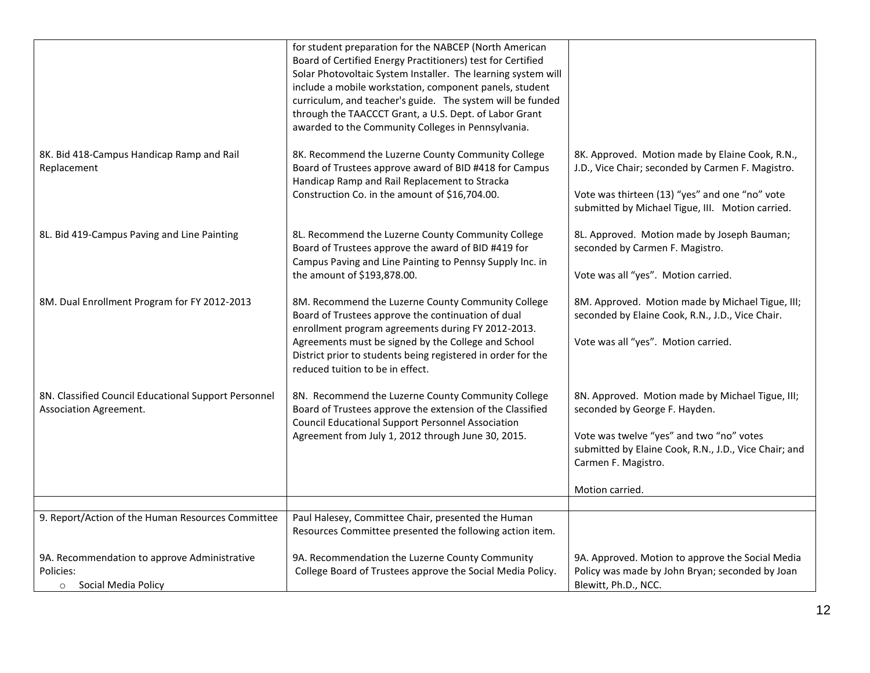|                                                                                    | for student preparation for the NABCEP (North American<br>Board of Certified Energy Practitioners) test for Certified<br>Solar Photovoltaic System Installer. The learning system will<br>include a mobile workstation, component panels, student<br>curriculum, and teacher's guide. The system will be funded<br>through the TAACCCT Grant, a U.S. Dept. of Labor Grant<br>awarded to the Community Colleges in Pennsylvania. |                                                                                                                                             |
|------------------------------------------------------------------------------------|---------------------------------------------------------------------------------------------------------------------------------------------------------------------------------------------------------------------------------------------------------------------------------------------------------------------------------------------------------------------------------------------------------------------------------|---------------------------------------------------------------------------------------------------------------------------------------------|
| 8K. Bid 418-Campus Handicap Ramp and Rail<br>Replacement                           | 8K. Recommend the Luzerne County Community College<br>Board of Trustees approve award of BID #418 for Campus<br>Handicap Ramp and Rail Replacement to Stracka                                                                                                                                                                                                                                                                   | 8K. Approved. Motion made by Elaine Cook, R.N.,<br>J.D., Vice Chair; seconded by Carmen F. Magistro.                                        |
|                                                                                    | Construction Co. in the amount of \$16,704.00.                                                                                                                                                                                                                                                                                                                                                                                  | Vote was thirteen (13) "yes" and one "no" vote<br>submitted by Michael Tigue, III. Motion carried.                                          |
| 8L. Bid 419-Campus Paving and Line Painting                                        | 8L. Recommend the Luzerne County Community College<br>Board of Trustees approve the award of BID #419 for<br>Campus Paving and Line Painting to Pennsy Supply Inc. in                                                                                                                                                                                                                                                           | 8L. Approved. Motion made by Joseph Bauman;<br>seconded by Carmen F. Magistro.                                                              |
|                                                                                    | the amount of \$193,878.00.                                                                                                                                                                                                                                                                                                                                                                                                     | Vote was all "yes". Motion carried.                                                                                                         |
| 8M. Dual Enrollment Program for FY 2012-2013                                       | 8M. Recommend the Luzerne County Community College<br>Board of Trustees approve the continuation of dual<br>enrollment program agreements during FY 2012-2013.<br>Agreements must be signed by the College and School                                                                                                                                                                                                           | 8M. Approved. Motion made by Michael Tigue, III;<br>seconded by Elaine Cook, R.N., J.D., Vice Chair.<br>Vote was all "yes". Motion carried. |
|                                                                                    | District prior to students being registered in order for the<br>reduced tuition to be in effect.                                                                                                                                                                                                                                                                                                                                |                                                                                                                                             |
| 8N. Classified Council Educational Support Personnel<br>Association Agreement.     | 8N. Recommend the Luzerne County Community College<br>Board of Trustees approve the extension of the Classified<br><b>Council Educational Support Personnel Association</b>                                                                                                                                                                                                                                                     | 8N. Approved. Motion made by Michael Tigue, III;<br>seconded by George F. Hayden.                                                           |
|                                                                                    | Agreement from July 1, 2012 through June 30, 2015.                                                                                                                                                                                                                                                                                                                                                                              | Vote was twelve "yes" and two "no" votes<br>submitted by Elaine Cook, R.N., J.D., Vice Chair; and<br>Carmen F. Magistro.                    |
|                                                                                    |                                                                                                                                                                                                                                                                                                                                                                                                                                 | Motion carried.                                                                                                                             |
|                                                                                    |                                                                                                                                                                                                                                                                                                                                                                                                                                 |                                                                                                                                             |
| 9. Report/Action of the Human Resources Committee                                  | Paul Halesey, Committee Chair, presented the Human<br>Resources Committee presented the following action item.                                                                                                                                                                                                                                                                                                                  |                                                                                                                                             |
| 9A. Recommendation to approve Administrative<br>Policies:<br>o Social Media Policy | 9A. Recommendation the Luzerne County Community<br>College Board of Trustees approve the Social Media Policy.                                                                                                                                                                                                                                                                                                                   | 9A. Approved. Motion to approve the Social Media<br>Policy was made by John Bryan; seconded by Joan<br>Blewitt, Ph.D., NCC.                 |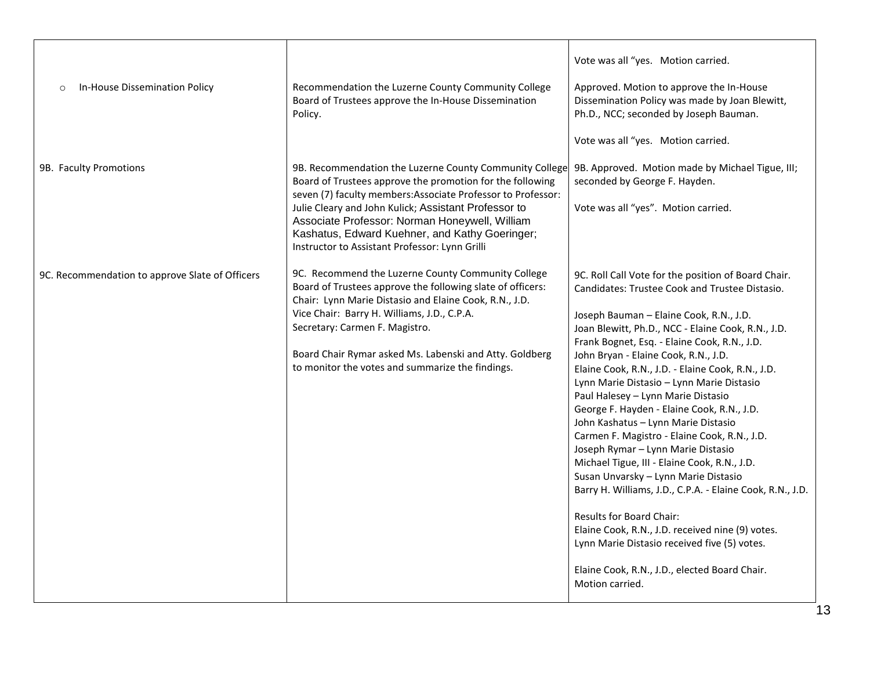| In-House Dissemination Policy<br>$\circ$        | Recommendation the Luzerne County Community College<br>Board of Trustees approve the In-House Dissemination<br>Policy.                                                                                                                                                                                                                                                                             | Vote was all "yes. Motion carried.<br>Approved. Motion to approve the In-House<br>Dissemination Policy was made by Joan Blewitt,<br>Ph.D., NCC; seconded by Joseph Bauman.<br>Vote was all "yes. Motion carried.                                                                                                                                                                                                                                                                                                                                                                                                                                                                                                                                                                                                                                                                                                                                                                  |
|-------------------------------------------------|----------------------------------------------------------------------------------------------------------------------------------------------------------------------------------------------------------------------------------------------------------------------------------------------------------------------------------------------------------------------------------------------------|-----------------------------------------------------------------------------------------------------------------------------------------------------------------------------------------------------------------------------------------------------------------------------------------------------------------------------------------------------------------------------------------------------------------------------------------------------------------------------------------------------------------------------------------------------------------------------------------------------------------------------------------------------------------------------------------------------------------------------------------------------------------------------------------------------------------------------------------------------------------------------------------------------------------------------------------------------------------------------------|
| 9B. Faculty Promotions                          | 9B. Recommendation the Luzerne County Community College<br>Board of Trustees approve the promotion for the following<br>seven (7) faculty members: Associate Professor to Professor:<br>Julie Cleary and John Kulick; Assistant Professor to<br>Associate Professor: Norman Honeywell, William<br>Kashatus, Edward Kuehner, and Kathy Goeringer;<br>Instructor to Assistant Professor: Lynn Grilli | 9B. Approved. Motion made by Michael Tigue, III;<br>seconded by George F. Hayden.<br>Vote was all "yes". Motion carried.                                                                                                                                                                                                                                                                                                                                                                                                                                                                                                                                                                                                                                                                                                                                                                                                                                                          |
| 9C. Recommendation to approve Slate of Officers | 9C. Recommend the Luzerne County Community College<br>Board of Trustees approve the following slate of officers:<br>Chair: Lynn Marie Distasio and Elaine Cook, R.N., J.D.<br>Vice Chair: Barry H. Williams, J.D., C.P.A.<br>Secretary: Carmen F. Magistro.<br>Board Chair Rymar asked Ms. Labenski and Atty. Goldberg<br>to monitor the votes and summarize the findings.                         | 9C. Roll Call Vote for the position of Board Chair.<br>Candidates: Trustee Cook and Trustee Distasio.<br>Joseph Bauman - Elaine Cook, R.N., J.D.<br>Joan Blewitt, Ph.D., NCC - Elaine Cook, R.N., J.D.<br>Frank Bognet, Esq. - Elaine Cook, R.N., J.D.<br>John Bryan - Elaine Cook, R.N., J.D.<br>Elaine Cook, R.N., J.D. - Elaine Cook, R.N., J.D.<br>Lynn Marie Distasio - Lynn Marie Distasio<br>Paul Halesey - Lynn Marie Distasio<br>George F. Hayden - Elaine Cook, R.N., J.D.<br>John Kashatus - Lynn Marie Distasio<br>Carmen F. Magistro - Elaine Cook, R.N., J.D.<br>Joseph Rymar - Lynn Marie Distasio<br>Michael Tigue, III - Elaine Cook, R.N., J.D.<br>Susan Unvarsky - Lynn Marie Distasio<br>Barry H. Williams, J.D., C.P.A. - Elaine Cook, R.N., J.D.<br><b>Results for Board Chair:</b><br>Elaine Cook, R.N., J.D. received nine (9) votes.<br>Lynn Marie Distasio received five (5) votes.<br>Elaine Cook, R.N., J.D., elected Board Chair.<br>Motion carried. |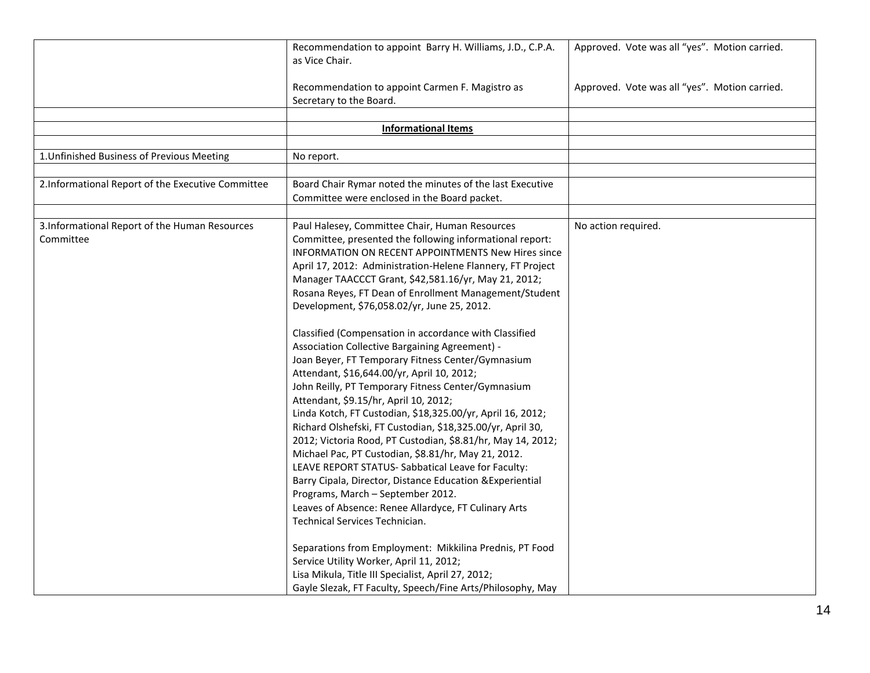|                                                             | Recommendation to appoint Barry H. Williams, J.D., C.P.A.<br>as Vice Chair.                                                                                                                                                                                                                                                                                                                                                                                                                                                                                                                                                                                                                                                                                                                                                                                                                                                                                                                                                                                                                                                                                                                                                                                                                                                                                                                                                                 | Approved. Vote was all "yes". Motion carried. |
|-------------------------------------------------------------|---------------------------------------------------------------------------------------------------------------------------------------------------------------------------------------------------------------------------------------------------------------------------------------------------------------------------------------------------------------------------------------------------------------------------------------------------------------------------------------------------------------------------------------------------------------------------------------------------------------------------------------------------------------------------------------------------------------------------------------------------------------------------------------------------------------------------------------------------------------------------------------------------------------------------------------------------------------------------------------------------------------------------------------------------------------------------------------------------------------------------------------------------------------------------------------------------------------------------------------------------------------------------------------------------------------------------------------------------------------------------------------------------------------------------------------------|-----------------------------------------------|
|                                                             | Recommendation to appoint Carmen F. Magistro as<br>Secretary to the Board.                                                                                                                                                                                                                                                                                                                                                                                                                                                                                                                                                                                                                                                                                                                                                                                                                                                                                                                                                                                                                                                                                                                                                                                                                                                                                                                                                                  | Approved. Vote was all "yes". Motion carried. |
|                                                             |                                                                                                                                                                                                                                                                                                                                                                                                                                                                                                                                                                                                                                                                                                                                                                                                                                                                                                                                                                                                                                                                                                                                                                                                                                                                                                                                                                                                                                             |                                               |
|                                                             | <b>Informational Items</b>                                                                                                                                                                                                                                                                                                                                                                                                                                                                                                                                                                                                                                                                                                                                                                                                                                                                                                                                                                                                                                                                                                                                                                                                                                                                                                                                                                                                                  |                                               |
|                                                             |                                                                                                                                                                                                                                                                                                                                                                                                                                                                                                                                                                                                                                                                                                                                                                                                                                                                                                                                                                                                                                                                                                                                                                                                                                                                                                                                                                                                                                             |                                               |
| 1. Unfinished Business of Previous Meeting                  | No report.                                                                                                                                                                                                                                                                                                                                                                                                                                                                                                                                                                                                                                                                                                                                                                                                                                                                                                                                                                                                                                                                                                                                                                                                                                                                                                                                                                                                                                  |                                               |
| 2.Informational Report of the Executive Committee           | Board Chair Rymar noted the minutes of the last Executive                                                                                                                                                                                                                                                                                                                                                                                                                                                                                                                                                                                                                                                                                                                                                                                                                                                                                                                                                                                                                                                                                                                                                                                                                                                                                                                                                                                   |                                               |
|                                                             | Committee were enclosed in the Board packet.                                                                                                                                                                                                                                                                                                                                                                                                                                                                                                                                                                                                                                                                                                                                                                                                                                                                                                                                                                                                                                                                                                                                                                                                                                                                                                                                                                                                |                                               |
|                                                             |                                                                                                                                                                                                                                                                                                                                                                                                                                                                                                                                                                                                                                                                                                                                                                                                                                                                                                                                                                                                                                                                                                                                                                                                                                                                                                                                                                                                                                             |                                               |
| 3. Informational Report of the Human Resources<br>Committee | Paul Halesey, Committee Chair, Human Resources<br>Committee, presented the following informational report:<br>INFORMATION ON RECENT APPOINTMENTS New Hires since<br>April 17, 2012: Administration-Helene Flannery, FT Project<br>Manager TAACCCT Grant, \$42,581.16/yr, May 21, 2012;<br>Rosana Reyes, FT Dean of Enrollment Management/Student<br>Development, \$76,058.02/yr, June 25, 2012.<br>Classified (Compensation in accordance with Classified<br>Association Collective Bargaining Agreement) -<br>Joan Beyer, FT Temporary Fitness Center/Gymnasium<br>Attendant, \$16,644.00/yr, April 10, 2012;<br>John Reilly, PT Temporary Fitness Center/Gymnasium<br>Attendant, \$9.15/hr, April 10, 2012;<br>Linda Kotch, FT Custodian, \$18,325.00/yr, April 16, 2012;<br>Richard Olshefski, FT Custodian, \$18,325.00/yr, April 30,<br>2012; Victoria Rood, PT Custodian, \$8.81/hr, May 14, 2012;<br>Michael Pac, PT Custodian, \$8.81/hr, May 21, 2012.<br>LEAVE REPORT STATUS- Sabbatical Leave for Faculty:<br>Barry Cipala, Director, Distance Education & Experiential<br>Programs, March - September 2012.<br>Leaves of Absence: Renee Allardyce, FT Culinary Arts<br>Technical Services Technician.<br>Separations from Employment: Mikkilina Prednis, PT Food<br>Service Utility Worker, April 11, 2012;<br>Lisa Mikula, Title III Specialist, April 27, 2012;<br>Gayle Slezak, FT Faculty, Speech/Fine Arts/Philosophy, May | No action required.                           |